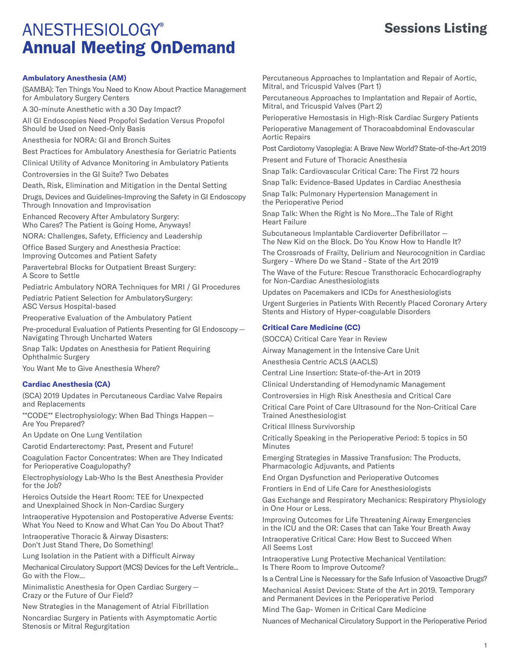### **Sessions Listing**

#### **Ambulatory Anesthesia (AM)**

(SAMBA): Ten Things You Need to Know About Practice Management for Ambulatory Surgery Centers

A 30-minute Anesthetic with a 30 Day Impact?

All GI Endoscopies Need Propofol Sedation Versus Propofol Should be Used on Need-Only Basis

Anesthesia for NORA: GI and Bronch Suites

Best Practices for Ambulatory Anesthesia for Geriatric Patients

Clinical Utility of Advance Monitoring in Ambulatory Patients

Controversies in the GI Suite? Two Debates

Death, Risk, Elimination and Mitigation in the Dental Setting

Drugs, Devices and Guidelines-Improving the Safety in GI Endoscopy Through Innovation and Improvisation

Enhanced Recovery After Ambulatory Surgery: Who Cares? The Patient is Going Home, Anyways!

NORA: Challenges, Safety, Efficiency and Leadership

Office Based Surgery and Anesthesia Practice: Improving Outcomes and Patient Safety

Paravertebral Blocks for Outpatient Breast Surgery: A Score to Settle

Pediatric Ambulatory NORA Techniques for MRI / GI Procedures

Pediatric Patient Selection for AmbulatorySurgery: ASC Versus Hospital-based

Preoperative Evaluation of the Ambulatory Patient

Pre-procedural Evaluation of Patients Presenting for GI Endoscopy — Navigating Through Uncharted Waters

Snap Talk: Updates on Anesthesia for Patient Requiring Ophthalmic Surgery

You Want Me to Give Anesthesia Where?

#### **Cardiac Anesthesia (CA)**

(SCA) 2019 Updates in Percutaneous Cardiac Valve Repairs and Replacements

\*\*CODE\*\* Electrophysiology: When Bad Things Happen — Are You Prepared?

An Update on One Lung Ventilation

Carotid Endarterectomy: Past, Present and Future!

Coagulation Factor Concentrates: When are They Indicated for Perioperative Coagulopathy?

Electrophysiology Lab-Who Is the Best Anesthesia Provider for the Job?

Heroics Outside the Heart Room: TEE for Unexpected and Unexplained Shock in Non-Cardiac Surgery

Intraoperative Hypotension and Postoperative Adverse Events: What You Need to Know and What Can You Do About That?

Intraoperative Thoracic & Airway Disasters: Don't Just Stand There, Do Something!

Lung Isolation in the Patient with a Difficult Airway

Mechanical Circulatory Support (MCS) Devices for the Left Ventricle... Go with the Flow...

Minimalistic Anesthesia for Open Cardiac Surgery — Crazy or the Future of Our Field?

New Strategies in the Management of Atrial Fibrillation

Noncardiac Surgery in Patients with Asymptomatic Aortic Stenosis or Mitral Regurgitation

Percutaneous Approaches to Implantation and Repair of Aortic, Mitral, and Tricuspid Valves (Part 1)

Percutaneous Approaches to Implantation and Repair of Aortic, Mitral, and Tricuspid Valves (Part 2)

Perioperative Hemostasis in High-Risk Cardiac Surgery Patients

Perioperative Management of Thoracoabdominal Endovascular Aortic Repairs

Post Cardiotomy Vasoplegia: A Brave New World? State-of-the-Art 2019 Present and Future of Thoracic Anesthesia

Snap Talk: Cardiovascular Critical Care: The First 72 hours

Snap Talk: Evidence-Based Updates in Cardiac Anesthesia

Snap Talk: Pulmonary Hypertension Management in the Perioperative Period

Snap Talk: When the Right is No More...The Tale of Right Heart Failure

Subcutaneous Implantable Cardioverter Defibrillator — The New Kid on the Block. Do You Know How to Handle It?

The Crossroads of Frailty, Delirium and Neurocognition in Cardiac Surgery - Where Do we Stand - State of the Art 2019

The Wave of the Future: Rescue Transthoracic Echocardiography for Non-Cardiac Anesthesiologists

Updates on Pacemakers and ICDs for Anesthesiologists

Urgent Surgeries in Patients With Recently Placed Coronary Artery Stents and History of Hyper-coagulable Disorders

#### **Critical Care Medicine (CC)**

(SOCCA) Critical Care Year in Review

Airway Management in the Intensive Care Unit

Anesthesia Centric ACLS (AACLS)

Central Line Insertion: State-of-the-Art in 2019

Clinical Understanding of Hemodynamic Management

Controversies in High Risk Anesthesia and Critical Care

Critical Care Point of Care Ultrasound for the Non-Critical Care Trained Anesthesiologist

Critical Illness Survivorship

Critically Speaking in the Perioperative Period: 5 topics in 50 Minutes

Emerging Strategies in Massive Transfusion: The Products, Pharmacologic Adjuvants, and Patients

End Organ Dysfunction and Perioperative Outcomes

Frontiers in End of Life Care for Anesthesiologists

Gas Exchange and Respiratory Mechanics: Respiratory Physiology in One Hour or Less.

Improving Outcomes for Life Threatening Airway Emergencies in the ICU and the OR: Cases that can Take Your Breath Away

Intraoperative Critical Care: How Best to Succeed When All Seems Lost

Intraoperative Lung Protective Mechanical Ventilation: Is There Room to Improve Outcome?

Is a Central Line is Necessary for the Safe Infusion of Vasoactive Drugs?

Mechanical Assist Devices: State of the Art in 2019. Temporary and Permanent Devices in the Perioperative Period

Mind The Gap- Women in Critical Care Medicine

Nuances of Mechanical Circulatory Support in the Perioperative Period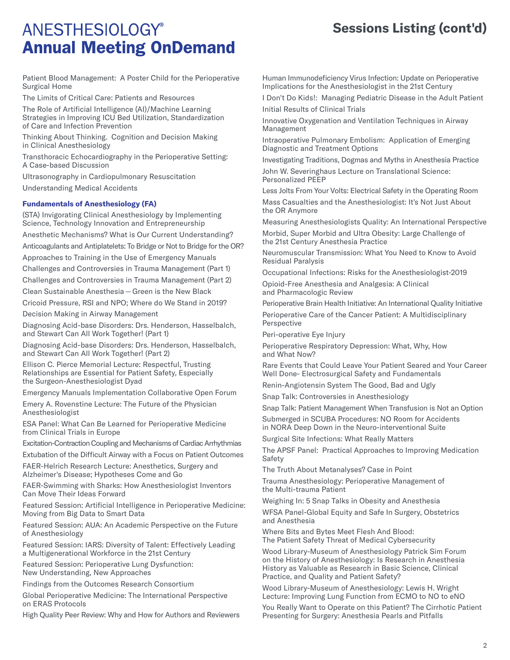## **Sessions Listing (cont'd)**

Patient Blood Management: A Poster Child for the Perioperative Surgical Home

The Limits of Critical Care: Patients and Resources

The Role of Artificial Intelligence (AI)/Machine Learning Strategies in Improving ICU Bed Utilization, Standardization of Care and Infection Prevention

Thinking About Thinking. Cognition and Decision Making in Clinical Anesthesiology

Transthoracic Echocardiography in the Perioperative Setting: A Case-based Discussion

Ultrasonography in Cardiopulmonary Resuscitation Understanding Medical Accidents

#### **Fundamentals of Anesthesiology (FA)**

(STA) Invigorating Clinical Anesthesiology by Implementing Science, Technology Innovation and Entrepreneurship

Anesthetic Mechanisms? What is Our Current Understanding?

Anticoagulants and Antiplatelets: To Bridge or Not to Bridge for the OR?

Approaches to Training in the Use of Emergency Manuals

Challenges and Controversies in Trauma Management (Part 1) Challenges and Controversies in Trauma Management (Part 2)

Clean Sustainable Anesthesia — Green is the New Black

Cricoid Pressure, RSI and NPO; Where do We Stand in 2019?

Decision Making in Airway Management

Diagnosing Acid-base Disorders: Drs. Henderson, Hasselbalch, and Stewart Can All Work Together! (Part 1)

Diagnosing Acid-base Disorders: Drs. Henderson, Hasselbalch, and Stewart Can All Work Together! (Part 2)

Ellison C. Pierce Memorial Lecture: Respectful, Trusting Relationships are Essential for Patient Safety, Especially the Surgeon-Anesthesiologist Dyad

Emergency Manuals Implementation Collaborative Open Forum

Emery A. Rovenstine Lecture: The Future of the Physician Anesthesiologist

ESA Panel: What Can Be Learned for Perioperative Medicine from Clinical Trials in Europe

Excitation-Contraction Coupling and Mechanisms of Cardiac Arrhythmias

Extubation of the Difficult Airway with a Focus on Patient Outcomes

FAER-Helrich Research Lecture: Anesthetics, Surgery and Alzheimer's Disease; Hypotheses Come and Go

FAER-Swimming with Sharks: How Anesthesiologist Inventors Can Move Their Ideas Forward

Featured Session: Artificial Intelligence in Perioperative Medicine: Moving from Big Data to Smart Data

Featured Session: AUA: An Academic Perspective on the Future of Anesthesiology

Featured Session: IARS: Diversity of Talent: Effectively Leading a Multigenerational Workforce in the 21st Century

Featured Session: Perioperative Lung Dysfunction: New Understanding, New Approaches

Findings from the Outcomes Research Consortium

Global Perioperative Medicine: The International Perspective on ERAS Protocols

High Quality Peer Review: Why and How for Authors and Reviewers

Human Immunodeficiency Virus Infection: Update on Perioperative Implications for the Anesthesiologist in the 21st Century

I Don't Do Kids!: Managing Pediatric Disease in the Adult Patient Initial Results of Clinical Trials

Innovative Oxygenation and Ventilation Techniques in Airway Management

Intraoperative Pulmonary Embolism: Application of Emerging Diagnostic and Treatment Options

Investigating Traditions, Dogmas and Myths in Anesthesia Practice John W. Severinghaus Lecture on Translational Science: Personalized PEEP

Less Jolts From Your Volts: Electrical Safety in the Operating Room

Mass Casualties and the Anesthesiologist: It's Not Just About the OR Anymore

Measuring Anesthesiologists Quality: An International Perspective Morbid, Super Morbid and Ultra Obesity: Large Challenge of the 21st Century Anesthesia Practice

Neuromuscular Transmission: What You Need to Know to Avoid Residual Paralysis

Occupational Infections: Risks for the Anesthesiologist-2019

Opioid-Free Anesthesia and Analgesia: A Clinical and Pharmacologic Review

Perioperative Brain Health Initiative: An International Quality Initiative

Perioperative Care of the Cancer Patient: A Multidisciplinary Perspective

Peri-operative Eye Injury

Perioperative Respiratory Depression: What, Why, How and What Now?

Rare Events that Could Leave Your Patient Seared and Your Career Well Done- Electrosurgical Safety and Fundamentals

Renin-Angiotensin System The Good, Bad and Ugly

Snap Talk: Controversies in Anesthesiology

Snap Talk: Patient Management When Transfusion is Not an Option Submerged in SCUBA Procedures: NO Room for Accidents

in NORA Deep Down in the Neuro-interventional Suite

Surgical Site Infections: What Really Matters

The APSF Panel: Practical Approaches to Improving Medication Safety

The Truth About Metanalyses? Case in Point

Trauma Anesthesiology: Perioperative Management of the Multi-trauma Patient

Weighing In: 5 Snap Talks in Obesity and Anesthesia

WFSA Panel-Global Equity and Safe In Surgery, Obstetrics and Anesthesia

Where Bits and Bytes Meet Flesh And Blood: The Patient Safety Threat of Medical Cybersecurity

Wood Library-Museum of Anesthesiology Patrick Sim Forum on the History of Anesthesiology: Is Research in Anesthesia History as Valuable as Research in Basic Science, Clinical Practice, and Quality and Patient Safety?

Wood Library-Museum of Anesthesiology: Lewis H. Wright Lecture: Improving Lung Function from ECMO to NO to eNO

You Really Want to Operate on this Patient? The Cirrhotic Patient Presenting for Surgery: Anesthesia Pearls and Pitfalls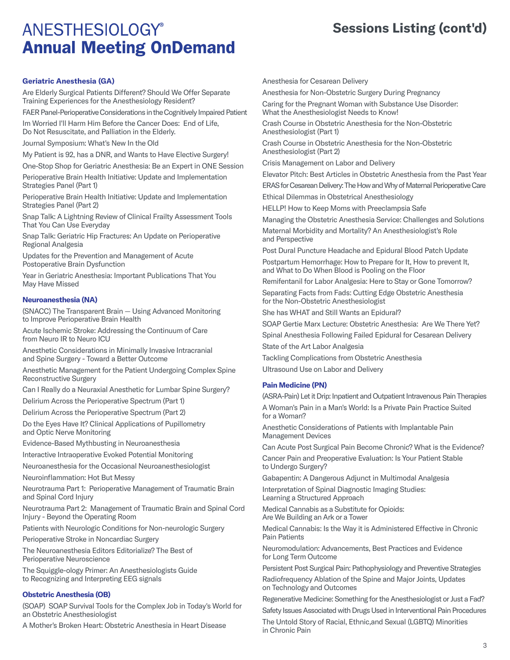### **Sessions Listing (cont'd)**

#### **Geriatric Anesthesia (GA)**

Are Elderly Surgical Patients Different? Should We Offer Separate Training Experiences for the Anesthesiology Resident?

FAER Panel-Perioperative Considerations in the Cognitively Impaired Patient

Im Worried I'll Harm Him Before the Cancer Does: End of Life, Do Not Resuscitate, and Palliation in the Elderly.

Journal Symposium: What's New In the Old

My Patient is 92, has a DNR, and Wants to Have Elective Surgery!

One-Stop Shop for Geriatric Anesthesia: Be an Expert in ONE Session

Perioperative Brain Health Initiative: Update and Implementation Strategies Panel (Part 1)

Perioperative Brain Health Initiative: Update and Implementation Strategies Panel (Part 2)

Snap Talk: A Lightning Review of Clinical Frailty Assessment Tools That You Can Use Everyday

Snap Talk: Geriatric Hip Fractures: An Update on Perioperative Regional Analgesia

Updates for the Prevention and Management of Acute Postoperative Brain Dysfunction

Year in Geriatric Anesthesia: Important Publications That You May Have Missed

#### **Neuroanesthesia (NA)**

(SNACC) The Transparent Brain — Using Advanced Monitoring to Improve Perioperative Brain Health

Acute Ischemic Stroke: Addressing the Continuum of Care from Neuro IR to Neuro ICU

Anesthetic Considerations in Minimally Invasive Intracranial and Spine Surgery - Toward a Better Outcome

Anesthetic Management for the Patient Undergoing Complex Spine Reconstructive Surgery

Can I Really do a Neuraxial Anesthetic for Lumbar Spine Surgery?

Delirium Across the Perioperative Spectrum (Part 1)

Delirium Across the Perioperative Spectrum (Part 2)

Do the Eyes Have It? Clinical Applications of Pupillometry and Optic Nerve Monitoring

Evidence-Based Mythbusting in Neuroanesthesia

Interactive Intraoperative Evoked Potential Monitoring

Neuroanesthesia for the Occasional Neuroanesthesiologist

Neuroinflammation: Hot But Messy

Neurotrauma Part 1: Perioperative Management of Traumatic Brain and Spinal Cord Injury

Neurotrauma Part 2: Management of Traumatic Brain and Spinal Cord Injury - Beyond the Operating Room

Patients with Neurologic Conditions for Non-neurologic Surgery

Perioperative Stroke in Noncardiac Surgery

The Neuroanesthesia Editors Editorialize? The Best of Perioperative Neuroscience

The Squiggle-ology Primer: An Anesthesiologists Guide to Recognizing and Interpreting EEG signals

#### **Obstetric Anesthesia (OB)**

(SOAP) SOAP Survival Tools for the Complex Job in Today's World for an Obstetric Anesthesiologist

A Mother's Broken Heart: Obstetric Anesthesia in Heart Disease

Anesthesia for Cesarean Delivery

Anesthesia for Non-Obstetric Surgery During Pregnancy

Caring for the Pregnant Woman with Substance Use Disorder: What the Anesthesiologist Needs to Know!

Crash Course in Obstetric Anesthesia for the Non-Obstetric Anesthesiologist (Part 1)

Crash Course in Obstetric Anesthesia for the Non-Obstetric Anesthesiologist (Part 2)

Crisis Management on Labor and Delivery

Elevator Pitch: Best Articles in Obstetric Anesthesia from the Past Year ERAS for Cesarean Delivery: The How and Why of Maternal Perioperative Care

Ethical Dilemmas in Obstetrical Anesthesiology

HELLP! How to Keep Moms with Preeclampsia Safe

Managing the Obstetric Anesthesia Service: Challenges and Solutions Maternal Morbidity and Mortality? An Anesthesiologist's Role and Perspective

Post Dural Puncture Headache and Epidural Blood Patch Update Postpartum Hemorrhage: How to Prepare for It, How to prevent It, and What to Do When Blood is Pooling on the Floor

Remifentanil for Labor Analgesia: Here to Stay or Gone Tomorrow?

Separating Facts from Fads: Cutting Edge Obstetric Anesthesia for the Non-Obstetric Anesthesiologist

She has WHAT and Still Wants an Epidural?

SOAP Gertie Marx Lecture: Obstetric Anesthesia: Are We There Yet?

Spinal Anesthesia Following Failed Epidural for Cesarean Delivery

State of the Art Labor Analgesia

Tackling Complications from Obstetric Anesthesia

Ultrasound Use on Labor and Delivery

#### **Pain Medicine (PN)**

(ASRA-Pain) Let it Drip: Inpatient and Outpatient Intravenous Pain Therapies

A Woman's Pain in a Man's World: Is a Private Pain Practice Suited for a Woman?

Anesthetic Considerations of Patients with Implantable Pain Management Devices

Can Acute Post Surgical Pain Become Chronic? What is the Evidence?

Cancer Pain and Preoperative Evaluation: Is Your Patient Stable to Undergo Surgery?

Gabapentin: A Dangerous Adjunct in Multimodal Analgesia

Interpretation of Spinal Diagnostic Imaging Studies: Learning a Structured Approach

Medical Cannabis as a Substitute for Opioids: Are We Building an Ark or a Tower

Medical Cannabis: Is the Way it is Administered Effective in Chronic Pain Patients

Neuromodulation: Advancements, Best Practices and Evidence for Long Term Outcome

Persistent Post Surgical Pain: Pathophysiology and Preventive Strategies Radiofrequency Ablation of the Spine and Major Joints, Updates on Technology and Outcomes

Regenerative Medicine: Something for the Anesthesiologist or Just a Fad?

Safety Issues Associated with Drugs Used in Interventional Pain Procedures

The Untold Story of Racial, Ethnic,and Sexual (LGBTQ) Minorities in Chronic Pain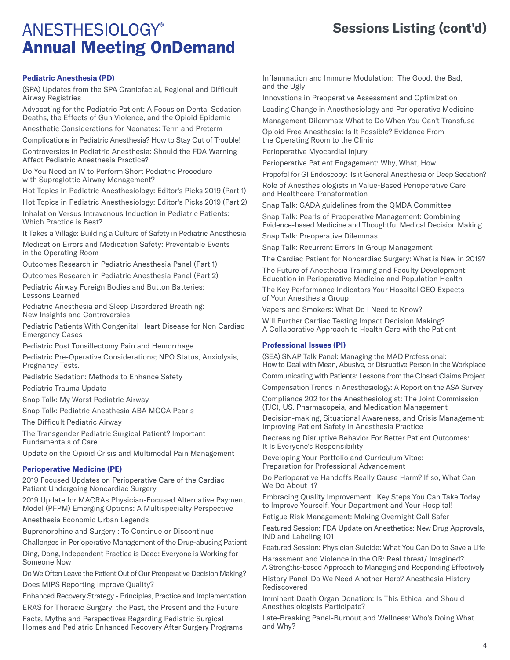### **Sessions Listing (cont'd)**

### **Pediatric Anesthesia (PD)**

(SPA) Updates from the SPA Craniofacial, Regional and Difficult Airway Registries

Advocating for the Pediatric Patient: A Focus on Dental Sedation Deaths, the Effects of Gun Violence, and the Opioid Epidemic

Anesthetic Considerations for Neonates: Term and Preterm

Complications in Pediatric Anesthesia? How to Stay Out of Trouble!

Controversies in Pediatric Anesthesia: Should the FDA Warning Affect Pediatric Anesthesia Practice?

Do You Need an IV to Perform Short Pediatric Procedure with Supraglottic Airway Management?

Hot Topics in Pediatric Anesthesiology: Editor's Picks 2019 (Part 1)

Hot Topics in Pediatric Anesthesiology: Editor's Picks 2019 (Part 2) Inhalation Versus Intravenous Induction in Pediatric Patients: Which Practice is Best?

It Takes a Village: Building a Culture of Safety in Pediatric Anesthesia

Medication Errors and Medication Safety: Preventable Events in the Operating Room

Outcomes Research in Pediatric Anesthesia Panel (Part 1)

Outcomes Research in Pediatric Anesthesia Panel (Part 2)

Pediatric Airway Foreign Bodies and Button Batteries: Lessons Learned

Pediatric Anesthesia and Sleep Disordered Breathing: New Insights and Controversies

Pediatric Patients With Congenital Heart Disease for Non Cardiac Emergency Cases

Pediatric Post Tonsillectomy Pain and Hemorrhage

Pediatric Pre-Operative Considerations; NPO Status, Anxiolysis, Pregnancy Tests.

Pediatric Sedation: Methods to Enhance Safety

Pediatric Trauma Update

Snap Talk: My Worst Pediatric Airway

Snap Talk: Pediatric Anesthesia ABA MOCA Pearls

The Difficult Pediatric Airway

The Transgender Pediatric Surgical Patient? Important Fundamentals of Care

Update on the Opioid Crisis and Multimodal Pain Management

#### **Perioperative Medicine (PE)**

2019 Focused Updates on Perioperative Care of the Cardiac Patient Undergoing Noncardiac Surgery

2019 Update for MACRAs Physician-Focused Alternative Payment Model (PFPM) Emerging Options: A Multispecialty Perspective

Anesthesia Economic Urban Legends

Buprenorphine and Surgery : To Continue or Discontinue

Challenges in Perioperative Management of the Drug-abusing Patient

Ding, Dong, Independent Practice is Dead: Everyone is Working for Someone Now

Do We Often Leave the Patient Out of Our Preoperative Decision Making? Does MIPS Reporting Improve Quality?

Enhanced Recovery Strategy - Principles, Practice and Implementation ERAS for Thoracic Surgery: the Past, the Present and the Future

Facts, Myths and Perspectives Regarding Pediatric Surgical Homes and Pediatric Enhanced Recovery After Surgery Programs Inflammation and Immune Modulation: The Good, the Bad, and the Ugly

Innovations in Preoperative Assessment and Optimization Leading Change in Anesthesiology and Perioperative Medicine Management Dilemmas: What to Do When You Can't Transfuse

Opioid Free Anesthesia: Is It Possible? Evidence From the Operating Room to the Clinic

Perioperative Myocardial Injury

Perioperative Patient Engagement: Why, What, How

Propofol for GI Endoscopy: Is it General Anesthesia or Deep Sedation? Role of Anesthesiologists in Value-Based Perioperative Care and Healthcare Transformation

Snap Talk: GADA guidelines from the QMDA Committee

Snap Talk: Pearls of Preoperative Management: Combining Evidence-based Medicine and Thoughtful Medical Decision Making.

Snap Talk: Preoperative Dilemmas

Snap Talk: Recurrent Errors In Group Management

The Cardiac Patient for Noncardiac Surgery: What is New in 2019?

The Future of Anesthesia Training and Faculty Development: Education in Perioperative Medicine and Population Health

The Key Performance Indicators Your Hospital CEO Expects of Your Anesthesia Group

Vapers and Smokers: What Do I Need to Know?

Will Further Cardiac Testing Impact Decision Making? A Collaborative Approach to Health Care with the Patient

#### **Professional Issues (PI)**

(SEA) SNAP Talk Panel: Managing the MAD Professional: How to Deal with Mean, Abusive, or Disruptive Person in the Workplace Communicating with Patients: Lessons from the Closed Claims Project

Compensation Trends in Anesthesiology: A Report on the ASA Survey

Compliance 202 for the Anesthesiologist: The Joint Commission (TJC), US. Pharmacopeia, and Medication Management

Decision-making, Situational Awareness, and Crisis Management: Improving Patient Safety in Anesthesia Practice

Decreasing Disruptive Behavior For Better Patient Outcomes: It Is Everyone's Responsibility

Developing Your Portfolio and Curriculum Vitae: Preparation for Professional Advancement

Do Perioperative Handoffs Really Cause Harm? If so, What Can We Do About It?

Embracing Quality Improvement: Key Steps You Can Take Today to Improve Yourself, Your Department and Your Hospital!

Fatigue Risk Management: Making Overnight Call Safer

Featured Session: FDA Update on Anesthetics: New Drug Approvals, IND and Labeling 101

Featured Session: Physician Suicide: What You Can Do to Save a Life Harassment and Violence in the OR: Real threat/ Imagined?

A Strengths-based Approach to Managing and Responding Effectively

History Panel-Do We Need Another Hero? Anesthesia History Rediscovered

Imminent Death Organ Donation: Is This Ethical and Should Anesthesiologists Participate?

Late-Breaking Panel-Burnout and Wellness: Who's Doing What and Why?